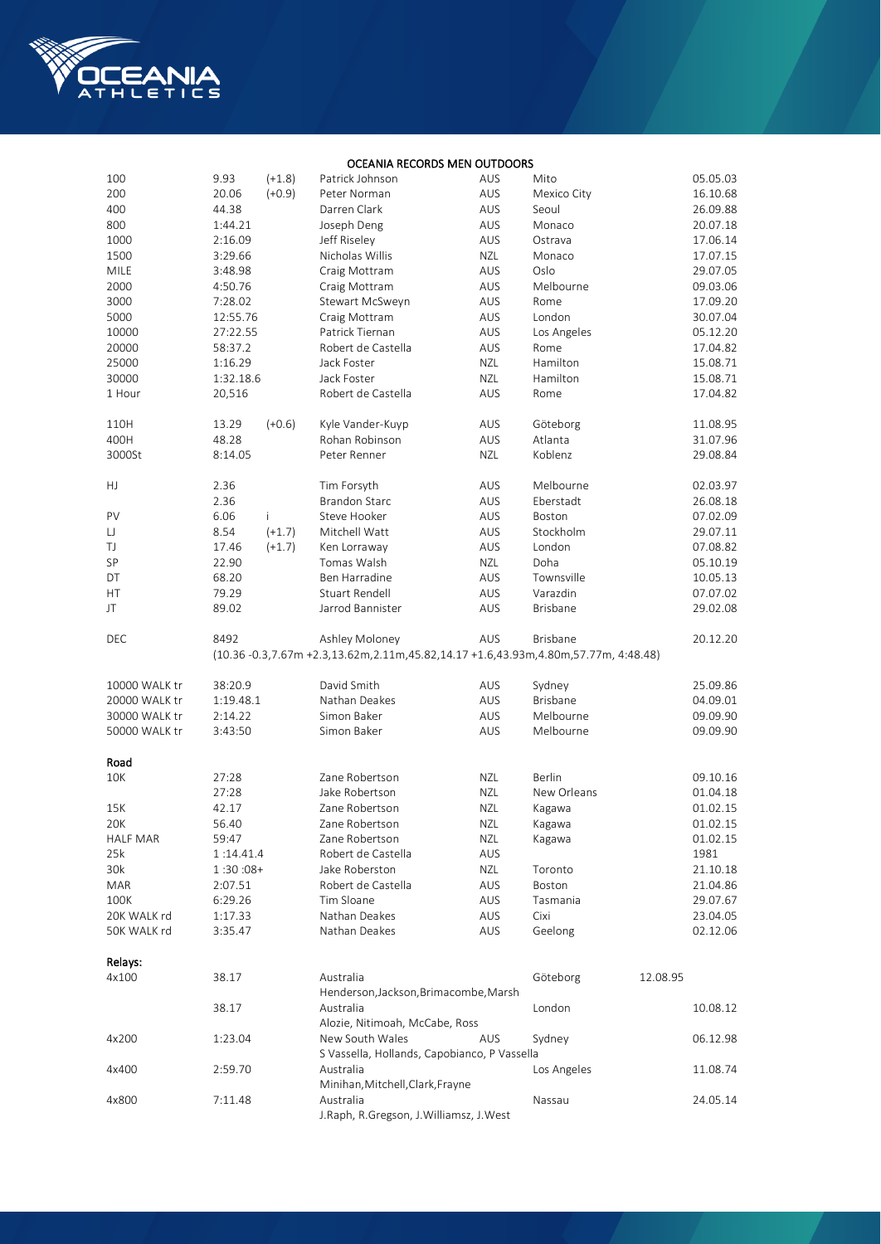

## OCEANIA RECORDS MEN OUTDOORS

| 100           | 9.93               | $(+1.8)$ | Patrick Johnson                                                                    | AUS        | Mito            | 05.05.03             |
|---------------|--------------------|----------|------------------------------------------------------------------------------------|------------|-----------------|----------------------|
| 200           | 20.06              | $(+0.9)$ | Peter Norman                                                                       | AUS        | Mexico City     | 16.10.68             |
| 400           | 44.38              |          | Darren Clark                                                                       | AUS        | Seoul           | 26.09.88             |
| 800           | 1:44.21            |          | Joseph Deng                                                                        | AUS        | Monaco          | 20.07.18             |
| 1000          | 2:16.09            |          | Jeff Riseley                                                                       | AUS        | Ostrava         | 17.06.14             |
| 1500          | 3:29.66            |          | Nicholas Willis                                                                    | <b>NZL</b> | Monaco          | 17.07.15             |
| <b>MILE</b>   | 3:48.98            |          | Craig Mottram                                                                      | AUS        | Oslo            | 29.07.05             |
| 2000          | 4:50.76            |          | Craig Mottram                                                                      | AUS        | Melbourne       | 09.03.06             |
| 3000          | 7:28.02            |          | Stewart McSweyn                                                                    | AUS        | Rome            | 17.09.20             |
| 5000          | 12:55.76           |          | Craig Mottram                                                                      | AUS        | London          | 30.07.04             |
| 10000         | 27:22.55           |          | Patrick Tiernan                                                                    | AUS        | Los Angeles     | 05.12.20             |
| 20000         | 58:37.2            |          | Robert de Castella                                                                 | AUS        | Rome            | 17.04.82             |
| 25000         | 1:16.29            |          | Jack Foster                                                                        | <b>NZL</b> | Hamilton        | 15.08.71             |
| 30000         | 1:32.18.6          |          | Jack Foster                                                                        | <b>NZL</b> | Hamilton        | 15.08.71             |
| 1 Hour        | 20,516             |          | Robert de Castella                                                                 | AUS        | Rome            | 17.04.82             |
|               |                    |          |                                                                                    |            |                 |                      |
| 110H          | 13.29              | $(+0.6)$ | Kyle Vander-Kuyp                                                                   | AUS        | Göteborg        | 11.08.95             |
| 400H          | 48.28              |          | Rohan Robinson                                                                     | AUS        | Atlanta         | 31.07.96             |
| 3000St        | 8:14.05            |          | Peter Renner                                                                       | <b>NZL</b> | Koblenz         | 29.08.84             |
|               |                    |          |                                                                                    |            |                 |                      |
| HJ            | 2.36               |          | Tim Forsyth                                                                        | AUS        | Melbourne       | 02.03.97             |
|               | 2.36               |          | <b>Brandon Starc</b>                                                               | AUS        | Eberstadt       | 26.08.18             |
| PV            | 6.06               | Ť        | Steve Hooker                                                                       | AUS        | Boston          | 07.02.09             |
| IJ            | 8.54               | $(+1.7)$ | Mitchell Watt                                                                      | AUS        | Stockholm       | 29.07.11             |
| TJ            | 17.46              | $(+1.7)$ | Ken Lorraway                                                                       | AUS        | London          | 07.08.82             |
| SP            | 22.90              |          | Tomas Walsh                                                                        | <b>NZL</b> | Doha            | 05.10.19             |
| DT            | 68.20              |          | Ben Harradine                                                                      | AUS        | Townsville      | 10.05.13             |
| НT            | 79.29              |          | Stuart Rendell                                                                     | AUS        | Varazdin        | 07.07.02             |
|               |                    |          |                                                                                    |            |                 |                      |
| JT            | 89.02              |          | Jarrod Bannister                                                                   | AUS        | <b>Brisbane</b> | 29.02.08             |
| DEC           | 8492               |          | Ashley Moloney                                                                     | AUS        | <b>Brisbane</b> | 20.12.20             |
|               |                    |          | (10.36 -0.3,7.67m +2.3,13.62m,2.11m,45.82,14.17 +1.6,43.93m,4.80m,57.77m, 4:48.48) |            |                 |                      |
|               |                    |          |                                                                                    |            |                 |                      |
| 10000 WALK tr | 38:20.9            |          | David Smith                                                                        | AUS        | Sydney          | 25.09.86             |
| 20000 WALK tr | 1:19.48.1          |          | Nathan Deakes                                                                      | AUS        | <b>Brisbane</b> | 04.09.01             |
| 30000 WALK tr | 2:14.22            |          | Simon Baker                                                                        | AUS        | Melbourne       | 09.09.90             |
| 50000 WALK tr | 3:43:50            |          | Simon Baker                                                                        | AUS        | Melbourne       | 09.09.90             |
|               |                    |          |                                                                                    |            |                 |                      |
| Road          |                    |          |                                                                                    |            |                 |                      |
| 10K           | 27:28              |          | Zane Robertson                                                                     | NZL        | Berlin          | 09.10.16             |
|               | 27:28              |          | Jake Robertson                                                                     | <b>NZL</b> | New Orleans     | 01.04.18             |
| 15K           | 42.17              |          | Zane Robertson                                                                     | <b>NZL</b> | Kagawa          | 01.02.15             |
| 20K           | 56.40              |          | Zane Robertson                                                                     | NZL        | Kagawa          | 01.02.15             |
| HALF MAR      | 59:47              |          | Zane Robertson                                                                     | NZL        | Kagawa          | 01.02.15             |
| 25k           | 1:14.41.4          |          | Robert de Castella                                                                 | AUS        |                 | 1981                 |
| 30k           | $1:30:08+$         |          | Jake Roberston                                                                     | NZL        | Toronto         | 21.10.18             |
| <b>MAR</b>    | 2:07.51            |          | Robert de Castella                                                                 | AUS        | Boston          | 21.04.86             |
|               |                    |          | Tim Sloane                                                                         | AUS        | Tasmania        |                      |
| 100K          | 6:29.26<br>1:17.33 |          | Nathan Deakes                                                                      |            |                 | 29.07.67<br>23.04.05 |
| 20K WALK rd   |                    |          | Nathan Deakes                                                                      | AUS        | Cixi            |                      |
| 50K WALK rd   | 3:35.47            |          |                                                                                    | AUS        | Geelong         | 02.12.06             |
| Relays:       |                    |          |                                                                                    |            |                 |                      |
| 4x100         | 38.17              |          | Australia                                                                          |            | Göteborg        | 12.08.95             |
|               |                    |          | Henderson, Jackson, Brimacombe, Marsh                                              |            |                 |                      |
|               | 38.17              |          | Australia                                                                          |            | London          | 10.08.12             |
|               |                    |          | Alozie, Nitimoah, McCabe, Ross                                                     |            |                 |                      |
|               |                    |          | New South Wales                                                                    | AUS        | Sydney          |                      |
| 4x200         | 1:23.04            |          | S Vassella, Hollands, Capobianco, P Vassella                                       |            |                 | 06.12.98             |
|               |                    |          |                                                                                    |            |                 |                      |
| 4x400         | 2:59.70            |          | Australia                                                                          |            | Los Angeles     | 11.08.74             |
| 4x800         |                    |          | Minihan, Mitchell, Clark, Frayne<br>Australia                                      |            |                 |                      |
|               | 7:11.48            |          | J.Raph, R.Gregson, J.Williamsz, J.West                                             |            | Nassau          | 24.05.14             |
|               |                    |          |                                                                                    |            |                 |                      |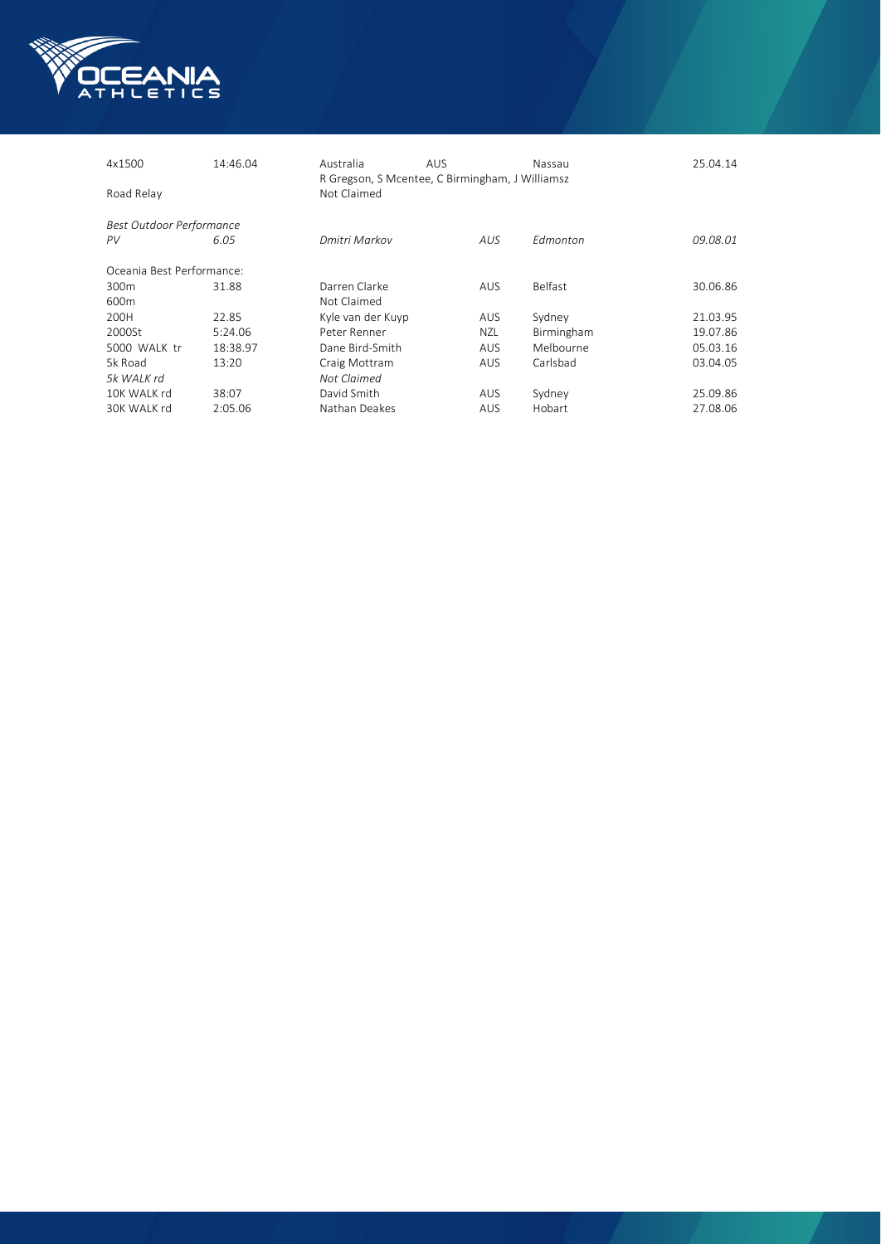

| 4x1500<br>Road Relay      | 14:46.04 | Australia<br>Not Claimed | <b>AUS</b><br>R Gregson, S Mcentee, C Birmingham, J Williamsz | Nassau          | 25.04.14 |
|---------------------------|----------|--------------------------|---------------------------------------------------------------|-----------------|----------|
| Best Outdoor Performance  |          |                          |                                                               |                 |          |
| PV                        | 6.05     | Dmitri Markov            | AUS.                                                          | <b>Edmonton</b> | 09.08.01 |
| Oceania Best Performance: |          |                          |                                                               |                 |          |
| 300 <sub>m</sub>          | 31.88    | Darren Clarke            | <b>AUS</b>                                                    | <b>Belfast</b>  | 30.06.86 |
| 600 <sub>m</sub>          |          | Not Claimed              |                                                               |                 |          |
| 200H                      | 22.85    | Kyle van der Kuyp        | <b>AUS</b>                                                    | Sydney          | 21.03.95 |
| 2000St                    | 5:24.06  | Peter Renner             | NZL.                                                          | Birmingham      | 19.07.86 |
| 5000 WALK tr              | 18:38.97 | Dane Bird-Smith          | <b>AUS</b>                                                    | Melbourne       | 05.03.16 |
| 5k Road                   | 13:20    | Craig Mottram            | <b>AUS</b>                                                    | Carlsbad        | 03.04.05 |
| 5k WALK rd                |          | Not Claimed              |                                                               |                 |          |
| 10K WALK rd               | 38:07    | David Smith              | <b>AUS</b>                                                    | Sydney          | 25.09.86 |
| 30K WALK rd               | 2:05.06  | Nathan Deakes            | AUS.                                                          | Hobart          | 27.08.06 |
|                           |          |                          |                                                               |                 |          |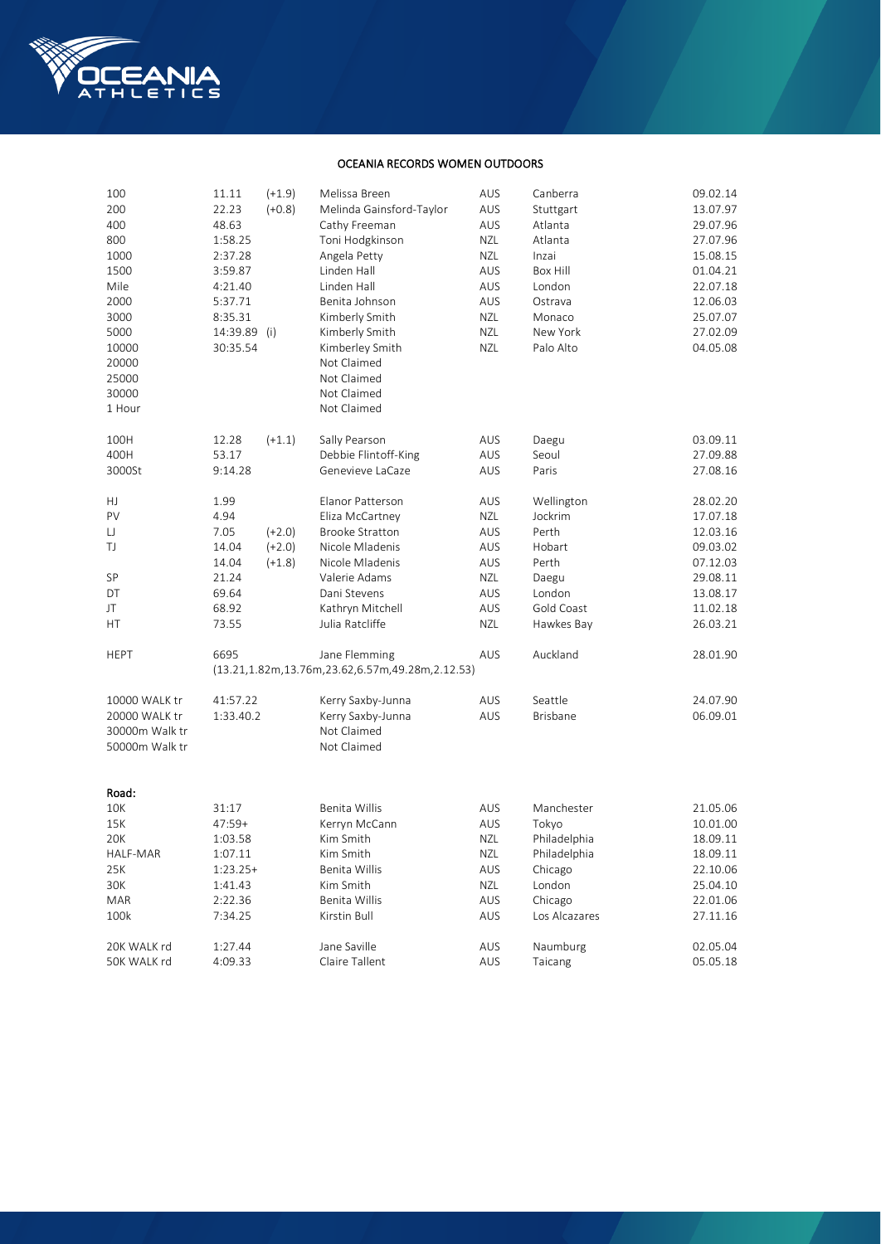

## OCEANIA RECORDS WOMEN OUTDOORS

| 100            | 11.11        | $(+1.9)$ | Melissa Breen                                   | AUS        | Canberra        | 09.02.14 |
|----------------|--------------|----------|-------------------------------------------------|------------|-----------------|----------|
| 200            | 22.23        | $(+0.8)$ | Melinda Gainsford-Taylor                        | AUS        | Stuttgart       | 13.07.97 |
| 400            | 48.63        |          | Cathy Freeman                                   | AUS        | Atlanta         | 29.07.96 |
| 800            | 1:58.25      |          | Toni Hodgkinson                                 | <b>NZL</b> | Atlanta         | 27.07.96 |
| 1000           | 2:37.28      |          | Angela Petty                                    | <b>NZL</b> | Inzai           | 15.08.15 |
| 1500           | 3:59.87      |          | Linden Hall                                     | AUS        | Box Hill        | 01.04.21 |
| Mile           | 4:21.40      |          | Linden Hall                                     | AUS        | London          | 22.07.18 |
| 2000           | 5:37.71      |          | Benita Johnson                                  | AUS        | Ostrava         | 12.06.03 |
| 3000           | 8:35.31      |          | Kimberly Smith                                  | NZL        | Monaco          | 25.07.07 |
| 5000           | 14:39.89 (i) |          | Kimberly Smith                                  | <b>NZL</b> | New York        | 27.02.09 |
| 10000          | 30:35.54     |          | Kimberley Smith                                 | <b>NZL</b> | Palo Alto       | 04.05.08 |
| 20000          |              |          | Not Claimed                                     |            |                 |          |
| 25000          |              |          | Not Claimed                                     |            |                 |          |
| 30000          |              |          | Not Claimed                                     |            |                 |          |
| 1 Hour         |              |          | Not Claimed                                     |            |                 |          |
|                |              |          |                                                 |            |                 |          |
| 100H           | 12.28        | $(+1.1)$ | Sally Pearson                                   | AUS        | Daegu           | 03.09.11 |
| 400H           | 53.17        |          | Debbie Flintoff-King                            | AUS        | Seoul           | 27.09.88 |
| 3000St         | 9:14.28      |          | Genevieve LaCaze                                | AUS        | Paris           | 27.08.16 |
|                |              |          |                                                 |            |                 |          |
| HJ             | 1.99         |          | Elanor Patterson                                | AUS        | Wellington      | 28.02.20 |
| PV             | 4.94         |          | Eliza McCartney                                 | <b>NZL</b> | Jockrim         | 17.07.18 |
| IJ             | 7.05         | $(+2.0)$ | <b>Brooke Stratton</b>                          | AUS        | Perth           | 12.03.16 |
| TJ             | 14.04        | $(+2.0)$ | Nicole Mladenis                                 | AUS        | Hobart          | 09.03.02 |
|                | 14.04        | $(+1.8)$ | Nicole Mladenis                                 | AUS        | Perth           | 07.12.03 |
| SP             | 21.24        |          | Valerie Adams                                   | <b>NZL</b> | Daegu           | 29.08.11 |
| DT             | 69.64        |          | Dani Stevens                                    | AUS        | London          | 13.08.17 |
| JT             | 68.92        |          | Kathryn Mitchell                                | AUS        | Gold Coast      | 11.02.18 |
| НT             | 73.55        |          | Julia Ratcliffe                                 | NZL        | Hawkes Bay      | 26.03.21 |
|                |              |          |                                                 |            |                 |          |
| HEPT           | 6695         |          | Jane Flemming                                   | AUS        | Auckland        | 28.01.90 |
|                |              |          | (13.21,1.82m,13.76m,23.62,6.57m,49.28m,2.12.53) |            |                 |          |
|                |              |          |                                                 |            |                 |          |
| 10000 WALK tr  | 41:57.22     |          | Kerry Saxby-Junna                               | AUS        | Seattle         | 24.07.90 |
| 20000 WALK tr  | 1:33.40.2    |          | Kerry Saxby-Junna                               | AUS        | <b>Brisbane</b> | 06.09.01 |
| 30000m Walk tr |              |          | Not Claimed                                     |            |                 |          |
| 50000m Walk tr |              |          | Not Claimed                                     |            |                 |          |
|                |              |          |                                                 |            |                 |          |
| Road:          |              |          |                                                 |            |                 |          |
| 10K            | 31:17        |          | Benita Willis                                   | AUS        | Manchester      | 21.05.06 |
| 15K            | 47:59+       |          | Kerryn McCann                                   | AUS        | Tokyo           | 10.01.00 |
| 20K            | 1:03.58      |          | Kim Smith                                       | NZL        | Philadelphia    | 18.09.11 |
| HALF-MAR       | 1:07.11      |          | Kim Smith                                       | NZL        | Philadelphia    | 18.09.11 |
| 25K            | $1:23.25+$   |          | Benita Willis                                   | AUS        | Chicago         | 22.10.06 |
| 30K            | 1:41.43      |          | Kim Smith                                       | <b>NZL</b> | London          | 25.04.10 |
| MAR            | 2:22.36      |          | Benita Willis                                   | AUS        | Chicago         | 22.01.06 |
| 100k           | 7:34.25      |          | Kirstin Bull                                    | AUS        | Los Alcazares   | 27.11.16 |
|                |              |          |                                                 |            |                 |          |
| 20K WALK rd    | 1:27.44      |          | Jane Saville                                    | AUS        | Naumburg        | 02.05.04 |
| 50K WALK rd    | 4:09.33      |          | Claire Tallent                                  | AUS        | Taicang         | 05.05.18 |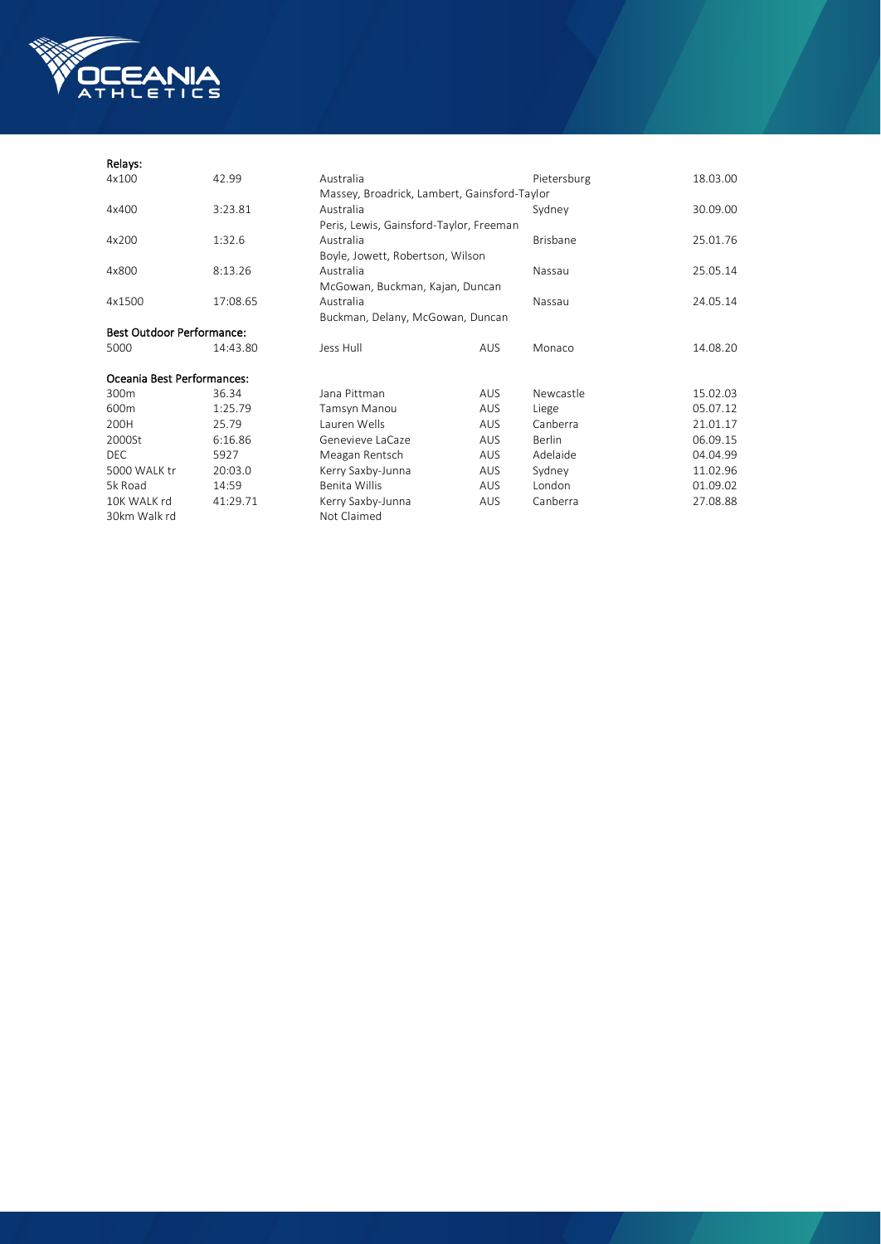

30km Walk rd Not Claimed

#### Relays:<br>4x100 4x100 42.99 Australia Pietersburg 18.03.00 Massey, Broadrick, Lambert, Gainsford-Taylor 4x400 3:23.81 Australia Sydney 30.09.00 Peris, Lewis, Gainsford-Taylor, Freeman 4x200 1:32.6 Australia Brisbane 25.01.76 Boyle, Jowett, Robertson, Wilson 4x800 8:13.26 Australia Nassau 25.05.14 McGowan, Buckman, Kajan, Duncan 4x1500 17:08.65 Australia 19 Australia 19 Nassau 24.05.14 Buckman, Delany, McGowan, Duncan Best Outdoor Performance: 5000 14:43.80 Jess Hull AUS Monaco 14.08.20 Oceania Best Performances: 300m 36.34 Jana Pittman AUS Newcastle 15.02.03 600m 1:25.79 Tamsyn Manou AUS Liege 05.07.12 200H 25.79 Lauren Wells AUS Canberra 21.01.17 2000St 6:16.86 Genevieve LaCaze AUS Berlin 06.09.15 DEC 5927 Meagan Rentsch AUS<br>1990 WALK tr 20:03.0 Kerry Saxby-Junna AUS 5000 WALK tr 20:03.0 Kerry Saxby-Junna AUS Sydney 11.02.96 5k Road 14:59 Benita Willis AUS London 01.09.02 10K WALK rd 41:29.71 Kerry Saxby-Junna AUS Canberra 27.08.88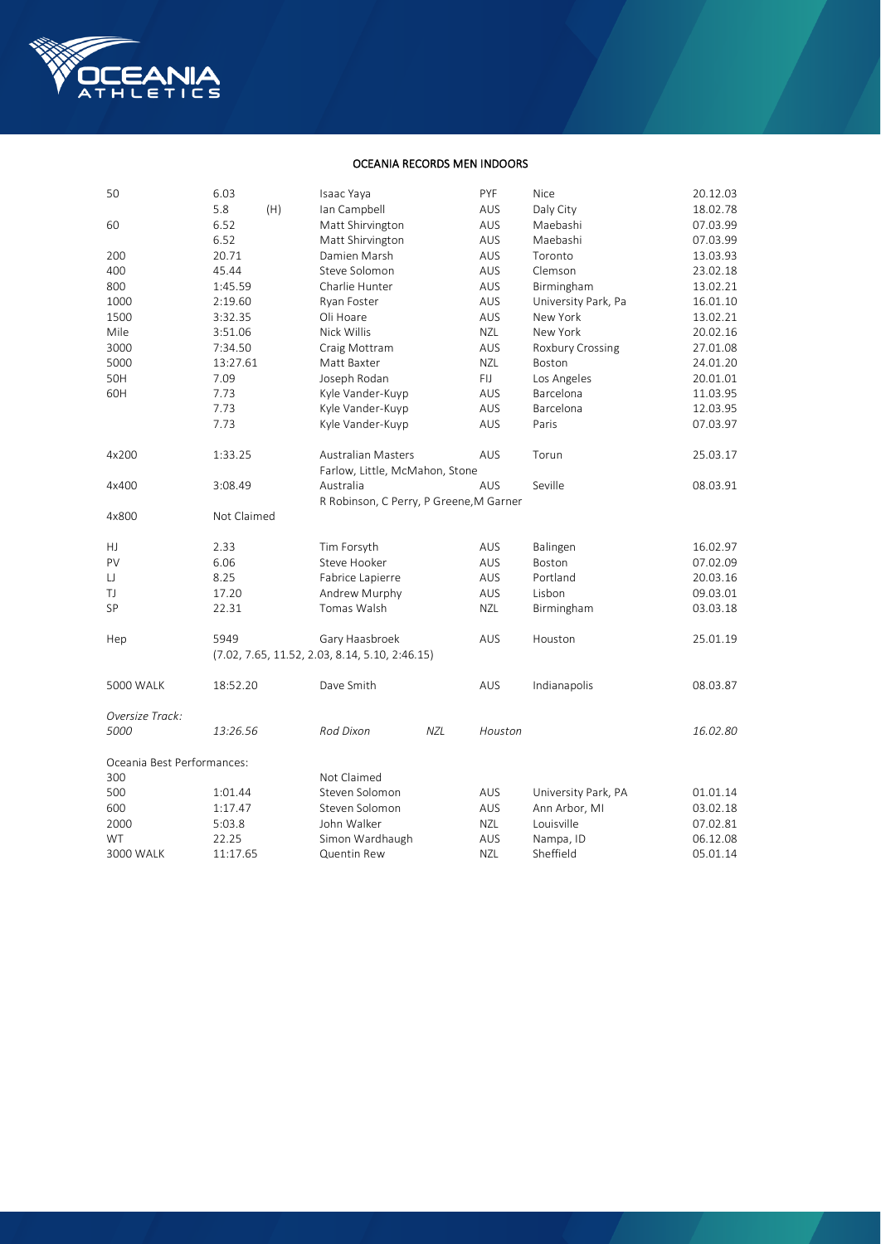

## OCEANIA RECORDS MEN INDOORS

| 50                         | 6.03        |     | Isaac Yaya                                                  |     | PYF        | Nice                | 20.12.03 |
|----------------------------|-------------|-----|-------------------------------------------------------------|-----|------------|---------------------|----------|
|                            | 5.8         | (H) | Ian Campbell                                                |     | AUS        | Daly City           | 18.02.78 |
| 60                         | 6.52        |     | Matt Shirvington                                            |     | AUS        | Maebashi            | 07.03.99 |
|                            | 6.52        |     | Matt Shirvington                                            |     | AUS        | Maebashi            | 07.03.99 |
| 200                        | 20.71       |     | Damien Marsh                                                |     | AUS        | Toronto             | 13.03.93 |
| 400                        | 45.44       |     | Steve Solomon                                               |     | AUS        | Clemson             | 23.02.18 |
| 800                        | 1:45.59     |     | Charlie Hunter                                              |     | AUS        | Birmingham          | 13.02.21 |
| 1000                       | 2:19.60     |     | Ryan Foster                                                 |     | AUS        | University Park, Pa | 16.01.10 |
| 1500                       | 3:32.35     |     | Oli Hoare                                                   |     | AUS        | New York            | 13.02.21 |
| Mile                       | 3:51.06     |     | Nick Willis                                                 |     | <b>NZL</b> | New York            | 20.02.16 |
| 3000                       | 7:34.50     |     | Craig Mottram                                               |     | AUS        | Roxbury Crossing    | 27.01.08 |
| 5000                       | 13:27.61    |     | Matt Baxter                                                 |     | <b>NZL</b> | Boston              | 24.01.20 |
| 50H                        | 7.09        |     | Joseph Rodan                                                |     | FIJ        | Los Angeles         | 20.01.01 |
| 60H                        | 7.73        |     | Kyle Vander-Kuyp                                            |     | AUS        | Barcelona           | 11.03.95 |
|                            | 7.73        |     | Kyle Vander-Kuyp                                            |     | AUS        | Barcelona           | 12.03.95 |
|                            | 7.73        |     | Kyle Vander-Kuyp                                            |     | AUS        | Paris               | 07.03.97 |
| 4x200                      | 1:33.25     |     | <b>Australian Masters</b><br>Farlow, Little, McMahon, Stone |     | AUS        | Torun               | 25.03.17 |
| 4x400                      | 3:08.49     |     | Australia                                                   |     | AUS        | Seville             | 08.03.91 |
|                            |             |     | R Robinson, C Perry, P Greene, M Garner                     |     |            |                     |          |
| 4x800                      | Not Claimed |     |                                                             |     |            |                     |          |
|                            |             |     |                                                             |     |            |                     |          |
| HJ                         | 2.33        |     | Tim Forsyth                                                 |     | AUS        | Balingen            | 16.02.97 |
| PV                         | 6.06        |     | Steve Hooker                                                |     | AUS        | <b>Boston</b>       | 07.02.09 |
| IJ                         | 8.25        |     | Fabrice Lapierre                                            |     | AUS        | Portland            | 20.03.16 |
| TJ                         | 17.20       |     | Andrew Murphy                                               |     | AUS        | Lisbon              | 09.03.01 |
| SP                         | 22.31       |     | Tomas Walsh                                                 |     | NZL        | Birmingham          | 03.03.18 |
|                            |             |     |                                                             |     |            |                     |          |
| Hep                        | 5949        |     | Gary Haasbroek                                              |     | AUS        | Houston             | 25.01.19 |
|                            |             |     | $(7.02, 7.65, 11.52, 2.03, 8.14, 5.10, 2:46.15)$            |     |            |                     |          |
|                            |             |     |                                                             |     |            |                     |          |
| <b>5000 WALK</b>           | 18:52.20    |     | Dave Smith                                                  |     | AUS        | Indianapolis        | 08.03.87 |
| Oversize Track:            |             |     |                                                             |     |            |                     |          |
| 5000                       | 13:26.56    |     | Rod Dixon                                                   | NZL | Houston    |                     | 16.02.80 |
| Oceania Best Performances: |             |     |                                                             |     |            |                     |          |
| 300                        |             |     | Not Claimed                                                 |     |            |                     |          |
| 500                        | 1:01.44     |     | Steven Solomon                                              |     | AUS        | University Park, PA | 01.01.14 |
| 600                        | 1:17.47     |     | Steven Solomon                                              |     | AUS        | Ann Arbor, MI       | 03.02.18 |
| 2000                       | 5:03.8      |     | John Walker                                                 |     | NZL        | Louisville          | 07.02.81 |
| WT                         | 22.25       |     | Simon Wardhaugh                                             |     | AUS        | Nampa, ID           | 06.12.08 |
| 3000 WALK                  | 11:17.65    |     | Quentin Rew                                                 |     | <b>NZL</b> | Sheffield           | 05.01.14 |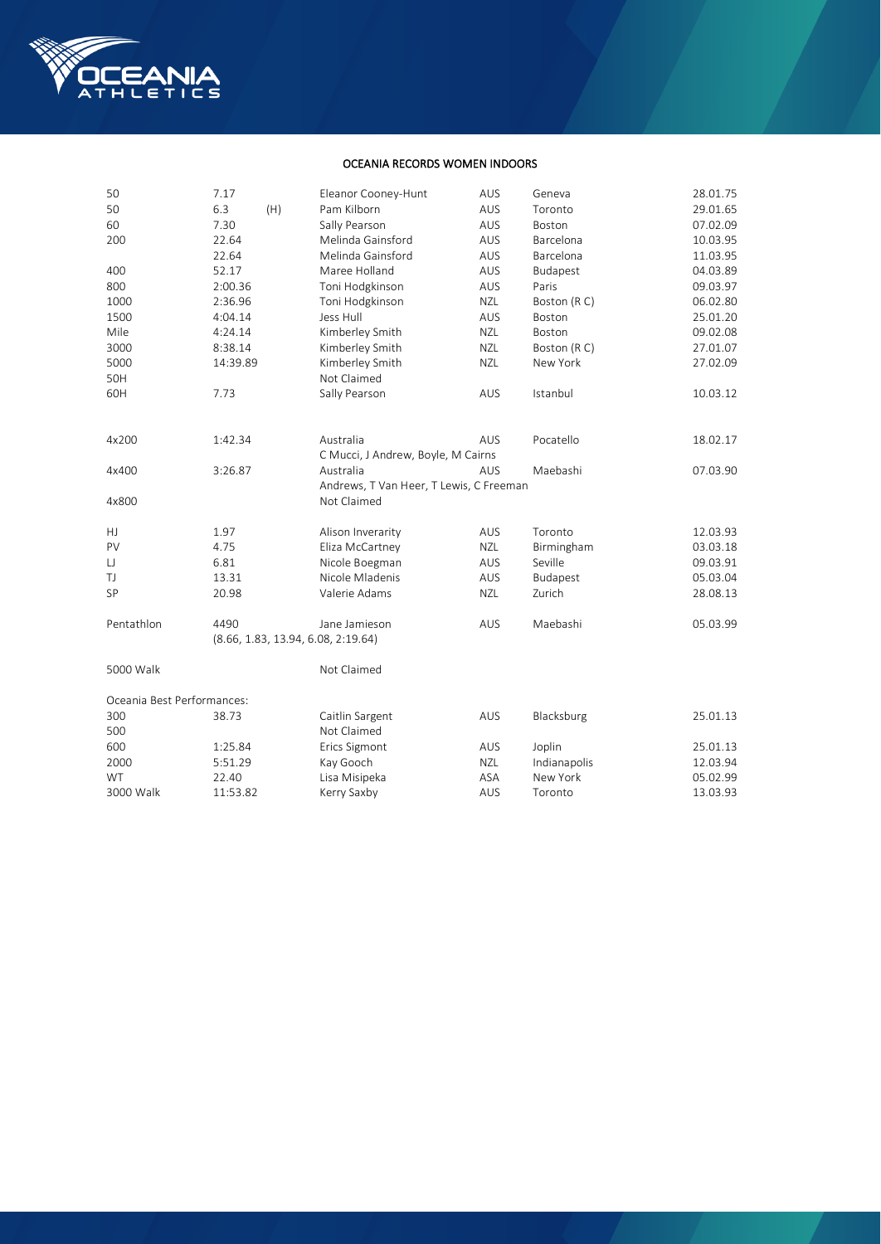

## OCEANIA RECORDS WOMEN INDOORS

| 50                         | 7.17       | Eleanor Cooney-Hunt                     | AUS        | Geneva       | 28.01.75 |
|----------------------------|------------|-----------------------------------------|------------|--------------|----------|
| 50                         | 6.3<br>(H) | Pam Kilborn                             | AUS        | Toronto      | 29.01.65 |
| 60                         | 7.30       | Sally Pearson                           | AUS        | Boston       | 07.02.09 |
| 200                        | 22.64      | Melinda Gainsford                       | AUS        | Barcelona    | 10.03.95 |
|                            | 22.64      | Melinda Gainsford                       | AUS        | Barcelona    | 11.03.95 |
| 400                        | 52.17      | Maree Holland                           | AUS        | Budapest     | 04.03.89 |
| 800                        | 2:00.36    | Toni Hodgkinson                         | AUS        | Paris        | 09.03.97 |
| 1000                       | 2:36.96    | Toni Hodgkinson                         | <b>NZL</b> | Boston (RC)  | 06.02.80 |
| 1500                       | 4:04.14    | Jess Hull                               | AUS        | Boston       | 25.01.20 |
| Mile                       | 4:24.14    | Kimberley Smith                         | <b>NZL</b> | Boston       | 09.02.08 |
| 3000                       | 8:38.14    | Kimberley Smith                         | <b>NZL</b> | Boston (RC)  | 27.01.07 |
| 5000                       | 14:39.89   | Kimberley Smith                         | NZL        | New York     | 27.02.09 |
| 50H                        |            | Not Claimed                             |            |              |          |
| 60H                        | 7.73       | Sally Pearson                           | AUS        | Istanbul     | 10.03.12 |
| 4x200                      | 1:42.34    | Australia                               | AUS        | Pocatello    | 18.02.17 |
|                            |            | C Mucci, J Andrew, Boyle, M Cairns      |            |              |          |
| 4x400                      | 3:26.87    | Australia                               | AUS        | Maebashi     | 07.03.90 |
|                            |            | Andrews, T Van Heer, T Lewis, C Freeman |            |              |          |
| 4x800                      |            | Not Claimed                             |            |              |          |
| HJ                         | 1.97       | Alison Inverarity                       | AUS        | Toronto      | 12.03.93 |
| PV                         | 4.75       | Eliza McCartney                         | <b>NZL</b> | Birmingham   | 03.03.18 |
| IJ                         | 6.81       | Nicole Boegman                          | AUS        | Seville      | 09.03.91 |
| TJ                         | 13.31      | Nicole Mladenis                         | AUS        | Budapest     | 05.03.04 |
| SP                         | 20.98      | Valerie Adams                           | <b>NZL</b> | Zurich       | 28.08.13 |
| Pentathlon                 | 4490       | Jane Jamieson                           | AUS        | Maebashi     | 05.03.99 |
|                            |            | (8.66, 1.83, 13.94, 6.08, 2:19.64)      |            |              |          |
| 5000 Walk                  |            | Not Claimed                             |            |              |          |
| Oceania Best Performances: |            |                                         |            |              |          |
| 300                        | 38.73      | Caitlin Sargent                         | AUS        | Blacksburg   | 25.01.13 |
| 500                        |            | Not Claimed                             |            |              |          |
| 600                        | 1:25.84    | Erics Sigmont                           | AUS        | Joplin       | 25.01.13 |
| 2000                       | 5:51.29    | Kay Gooch                               | <b>NZL</b> | Indianapolis | 12.03.94 |
| WT                         | 22.40      | Lisa Misipeka                           | ASA        | New York     | 05.02.99 |
| 3000 Walk                  | 11:53.82   | Kerry Saxby                             | AUS        | Toronto      | 13.03.93 |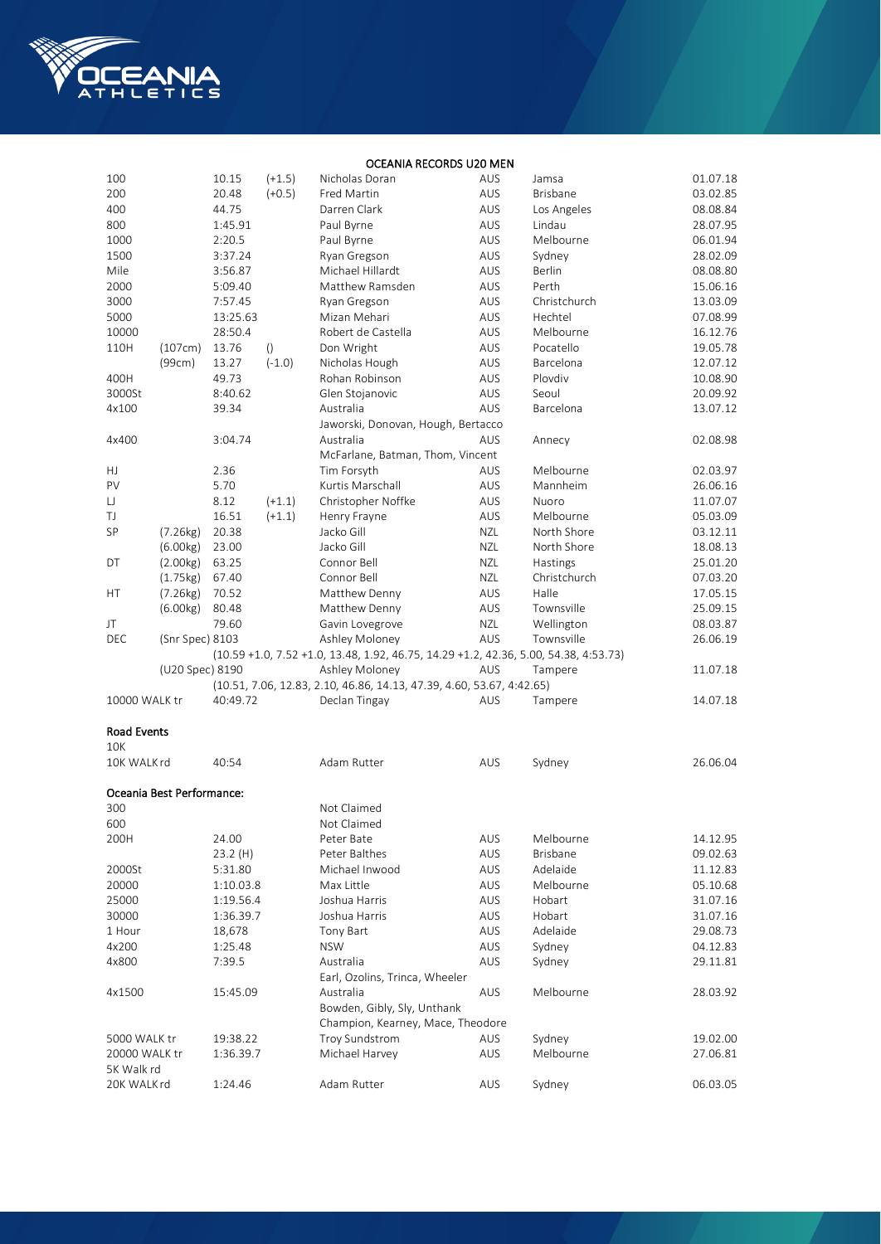

## OCEANIA RECORDS U20 MEN

| 100                |                           | 10.15     | $(+1.5)$         | Nicholas Doran                                                                       | AUS        | Jamsa           | 01.07.18 |
|--------------------|---------------------------|-----------|------------------|--------------------------------------------------------------------------------------|------------|-----------------|----------|
| 200                |                           | 20.48     | $(+0.5)$         | Fred Martin                                                                          | AUS        | <b>Brisbane</b> | 03.02.85 |
| 400                |                           | 44.75     |                  | Darren Clark                                                                         | AUS        | Los Angeles     | 08.08.84 |
| 800                |                           | 1:45.91   |                  | Paul Byrne                                                                           | AUS        | Lindau          | 28.07.95 |
| 1000               |                           | 2:20.5    |                  | Paul Byrne                                                                           | AUS        | Melbourne       | 06.01.94 |
| 1500               |                           | 3:37.24   |                  | Ryan Gregson                                                                         | AUS        | Sydney          | 28.02.09 |
| Mile               |                           | 3:56.87   |                  | Michael Hillardt                                                                     | AUS        | Berlin          | 08.08.80 |
| 2000               |                           | 5:09.40   |                  | Matthew Ramsden                                                                      | AUS        | Perth           | 15.06.16 |
| 3000               |                           | 7:57.45   |                  | Ryan Gregson                                                                         | AUS        | Christchurch    | 13.03.09 |
| 5000               |                           | 13:25.63  |                  | Mizan Mehari                                                                         | AUS        | Hechtel         | 07.08.99 |
| 10000              |                           | 28:50.4   |                  | Robert de Castella                                                                   | AUS        | Melbourne       | 16.12.76 |
| 110H               | (107cm)                   | 13.76     | $\left( \right)$ | Don Wright                                                                           | AUS        | Pocatello       | 19.05.78 |
|                    | (99cm)                    | 13.27     | $(-1.0)$         | Nicholas Hough                                                                       | AUS        | Barcelona       | 12.07.12 |
| 400H               |                           | 49.73     |                  | Rohan Robinson                                                                       | AUS        | Plovdiv         | 10.08.90 |
| 3000St             |                           | 8:40.62   |                  | Glen Stojanovic                                                                      | AUS        | Seoul           | 20.09.92 |
| 4x100              |                           | 39.34     |                  | Australia                                                                            | AUS        | Barcelona       | 13.07.12 |
|                    |                           |           |                  | Jaworski, Donovan, Hough, Bertacco                                                   |            |                 |          |
| 4x400              |                           | 3:04.74   |                  | Australia                                                                            | <b>AUS</b> | Annecy          | 02.08.98 |
|                    |                           |           |                  | McFarlane, Batman, Thom, Vincent                                                     |            |                 |          |
| HJ                 |                           | 2.36      |                  | Tim Forsyth                                                                          | AUS        | Melbourne       | 02.03.97 |
|                    |                           |           |                  |                                                                                      |            |                 |          |
| PV                 |                           | 5.70      |                  | Kurtis Marschall                                                                     | AUS        | Mannheim        | 26.06.16 |
| IJ                 |                           | 8.12      | $(+1.1)$         | Christopher Noffke                                                                   | AUS        | Nuoro           | 11.07.07 |
| TJ                 |                           | 16.51     | $(+1.1)$         | Henry Frayne                                                                         | AUS        | Melbourne       | 05.03.09 |
| SP                 | (7.26kg)                  | 20.38     |                  | Jacko Gill                                                                           | <b>NZL</b> | North Shore     | 03.12.11 |
|                    | (6.00kg)                  | 23.00     |                  | Jacko Gill                                                                           | <b>NZL</b> | North Shore     | 18.08.13 |
| DT                 | (2.00kg)                  | 63.25     |                  | Connor Bell                                                                          | NZL        | Hastings        | 25.01.20 |
|                    | (1.75kg)                  | 67.40     |                  | Connor Bell                                                                          | NZL        | Christchurch    | 07.03.20 |
| НT                 | (7.26kg)                  | 70.52     |                  | Matthew Denny                                                                        | AUS        | Halle           | 17.05.15 |
|                    | (6.00kg)                  | 80.48     |                  | Matthew Denny                                                                        | AUS        | Townsville      | 25.09.15 |
| JT                 |                           | 79.60     |                  | Gavin Lovegrove                                                                      | NZL        | Wellington      | 08.03.87 |
| DEC                | (Snr Spec) 8103           |           |                  | Ashley Moloney                                                                       | AUS        | Townsville      | 26.06.19 |
|                    |                           |           |                  | (10.59 +1.0, 7.52 +1.0, 13.48, 1.92, 46.75, 14.29 +1.2, 42.36, 5.00, 54.38, 4:53.73) |            |                 |          |
|                    | (U20 Spec) 8190           |           |                  | Ashley Moloney                                                                       | AUS        | Tampere         | 11.07.18 |
|                    |                           |           |                  | (10.51, 7.06, 12.83, 2.10, 46.86, 14.13, 47.39, 4.60, 53.67, 4:42.65)                |            |                 |          |
| 10000 WALK tr      |                           | 40:49.72  |                  | Declan Tingay                                                                        | AUS        | Tampere         | 14.07.18 |
| <b>Road Events</b> |                           |           |                  |                                                                                      |            |                 |          |
| <b>10K</b>         |                           |           |                  |                                                                                      |            |                 |          |
| 10K WALKrd         |                           | 40:54     |                  | Adam Rutter                                                                          | AUS        | Sydney          | 26.06.04 |
|                    |                           |           |                  |                                                                                      |            |                 |          |
|                    | Oceania Best Performance: |           |                  |                                                                                      |            |                 |          |
| 300                |                           |           |                  | Not Claimed                                                                          |            |                 |          |
| 600                |                           |           |                  | Not Claimed                                                                          |            |                 |          |
| 200H               |                           | 24.00     |                  | Peter Bate                                                                           | AUS        | Melbourne       | 14.12.95 |
|                    |                           | 23.2(H)   |                  | Peter Balthes                                                                        | AUS        | Brisbane        | 09.02.63 |
| 2000St             |                           | 5:31.80   |                  | Michael Inwood                                                                       | AUS        | Adelaide        | 11.12.83 |
| 20000              |                           | 1:10.03.8 |                  | Max Little                                                                           | AUS        | Melbourne       | 05.10.68 |
| 25000              |                           | 1:19.56.4 |                  | Joshua Harris                                                                        | AUS        | Hobart          | 31.07.16 |
| 30000              |                           | 1:36.39.7 |                  | Joshua Harris                                                                        | AUS        | Hobart          | 31.07.16 |
| 1 Hour             |                           | 18,678    |                  | Tony Bart                                                                            | AUS        | Adelaide        | 29.08.73 |
| 4x200              |                           | 1:25.48   |                  | <b>NSW</b>                                                                           | AUS        | Sydney          | 04.12.83 |
| 4x800              |                           | 7:39.5    |                  | Australia                                                                            | AUS        | Sydney          | 29.11.81 |
|                    |                           |           |                  | Earl, Ozolins, Trinca, Wheeler                                                       |            |                 |          |
| 4x1500             |                           | 15:45.09  |                  | Australia                                                                            | AUS        | Melbourne       | 28.03.92 |
|                    |                           |           |                  | Bowden, Gibly, Sly, Unthank                                                          |            |                 |          |
|                    |                           |           |                  | Champion, Kearney, Mace, Theodore                                                    |            |                 |          |
| 5000 WALK tr       |                           | 19:38.22  |                  | Troy Sundstrom                                                                       | AUS        | Sydney          | 19.02.00 |
| 20000 WALK tr      |                           | 1:36.39.7 |                  | Michael Harvey                                                                       | AUS        | Melbourne       | 27.06.81 |
| 5K Walk rd         |                           |           |                  |                                                                                      |            |                 |          |
| 20K WALKrd         |                           | 1:24.46   |                  | Adam Rutter                                                                          | AUS        | Sydney          | 06.03.05 |
|                    |                           |           |                  |                                                                                      |            |                 |          |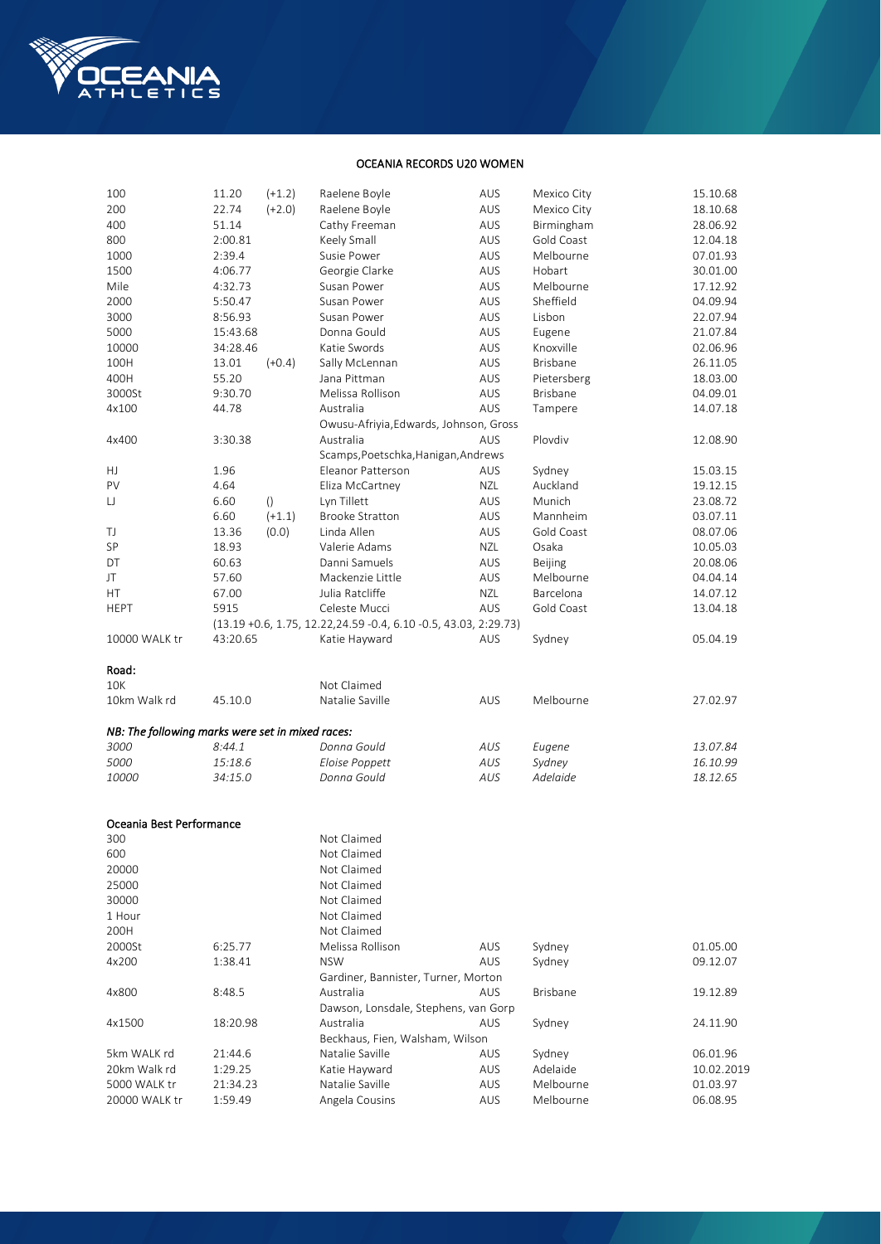

## OCEANIA RECORDS U20 WOMEN

| 100                                              | 11.20    | $(+1.2)$ | Raelene Boyle                                                         | AUS        | Mexico City      | 15.10.68             |
|--------------------------------------------------|----------|----------|-----------------------------------------------------------------------|------------|------------------|----------------------|
| 200                                              | 22.74    | $(+2.0)$ | Raelene Boyle                                                         | AUS        | Mexico City      | 18.10.68             |
| 400                                              | 51.14    |          | Cathy Freeman                                                         | <b>AUS</b> | Birmingham       | 28.06.92             |
| 800                                              | 2:00.81  |          | Keely Small                                                           | <b>AUS</b> | Gold Coast       | 12.04.18             |
| 1000                                             | 2:39.4   |          | Susie Power                                                           | AUS        | Melbourne        | 07.01.93             |
| 1500                                             | 4:06.77  |          | Georgie Clarke                                                        | AUS        | Hobart           | 30.01.00             |
| Mile                                             | 4:32.73  |          | Susan Power                                                           | AUS        | Melbourne        | 17.12.92             |
| 2000                                             | 5:50.47  |          | Susan Power                                                           | AUS        | Sheffield        | 04.09.94             |
| 3000                                             | 8:56.93  |          | Susan Power                                                           | AUS        | Lisbon           | 22.07.94             |
| 5000                                             | 15:43.68 |          | Donna Gould                                                           | AUS        | Eugene           | 21.07.84             |
| 10000                                            | 34:28.46 |          | Katie Swords                                                          | <b>AUS</b> | Knoxville        | 02.06.96             |
| 100H                                             | 13.01    | $(+0.4)$ | Sally McLennan                                                        | AUS        | Brisbane         | 26.11.05             |
| 400H                                             | 55.20    |          | Jana Pittman                                                          | AUS        | Pietersberg      | 18.03.00             |
| 3000St                                           | 9:30.70  |          | Melissa Rollison                                                      | AUS        | Brisbane         | 04.09.01             |
| 4x100                                            | 44.78    |          | Australia                                                             | AUS        | Tampere          | 14.07.18             |
|                                                  |          |          | Owusu-Afriyia, Edwards, Johnson, Gross                                |            |                  |                      |
| 4x400                                            | 3:30.38  |          | Australia                                                             | AUS        | Plovdiv          | 12.08.90             |
|                                                  |          |          | Scamps, Poetschka, Hanigan, Andrews                                   |            |                  |                      |
| HJ                                               | 1.96     |          | Eleanor Patterson                                                     | <b>AUS</b> | Sydney           | 15.03.15             |
| PV                                               | 4.64     |          | Eliza McCartney                                                       | NZL        | Auckland         | 19.12.15             |
| IJ                                               | 6.60     | ()       | Lyn Tillett                                                           | AUS        | Munich           | 23.08.72             |
|                                                  | 6.60     | $(+1.1)$ | <b>Brooke Stratton</b>                                                | AUS        | Mannheim         | 03.07.11             |
| TJ                                               | 13.36    | (0.0)    | Linda Allen                                                           | AUS        | Gold Coast       | 08.07.06             |
| SP                                               | 18.93    |          | Valerie Adams                                                         | NZL        | Osaka            | 10.05.03             |
| DT                                               | 60.63    |          | Danni Samuels                                                         | AUS        | Beijing          | 20.08.06             |
| JT                                               | 57.60    |          | Mackenzie Little                                                      | AUS        | Melbourne        | 04.04.14             |
| HT.                                              | 67.00    |          | Julia Ratcliffe                                                       | <b>NZL</b> | Barcelona        | 14.07.12             |
|                                                  | 5915     |          | Celeste Mucci                                                         | AUS        | Gold Coast       |                      |
| <b>HEPT</b>                                      |          |          |                                                                       |            |                  | 13.04.18             |
| 10000 WALK tr                                    | 43:20.65 |          | $(13.19 + 0.6, 1.75, 12.22, 24.59 - 0.4, 6.10 - 0.5, 43.03, 2.29.73)$ |            |                  |                      |
|                                                  |          |          | Katie Hayward                                                         | AUS        | Sydney           | 05.04.19             |
| Road:                                            |          |          |                                                                       |            |                  |                      |
| <b>10K</b>                                       |          |          | Not Claimed                                                           |            |                  |                      |
| 10km Walk rd                                     |          |          | Natalie Saville                                                       |            | Melbourne        |                      |
|                                                  | 45.10.0  |          |                                                                       | <b>AUS</b> |                  | 27.02.97             |
| NB: The following marks were set in mixed races: |          |          |                                                                       |            |                  |                      |
| 3000                                             | 8:44.1   |          | Donna Gould                                                           | AUS        |                  | 13.07.84             |
| 5000                                             | 15:18.6  |          | Eloise Poppett                                                        | AUS        | Eugene<br>Sydney |                      |
|                                                  |          |          | Donna Gould                                                           | AUS        | Adelaide         | 16.10.99<br>18.12.65 |
| 10000                                            | 34:15.0  |          |                                                                       |            |                  |                      |
|                                                  |          |          |                                                                       |            |                  |                      |
| Oceania Best Performance                         |          |          |                                                                       |            |                  |                      |
| 300                                              |          |          | Not Claimed                                                           |            |                  |                      |
| 600                                              |          |          | Not Claimed                                                           |            |                  |                      |
| 20000                                            |          |          | Not Claimed                                                           |            |                  |                      |
| 25000                                            |          |          | Not Claimed                                                           |            |                  |                      |
|                                                  |          |          |                                                                       |            |                  |                      |
| 30000                                            |          |          | Not Claimed                                                           |            |                  |                      |
| 1 Hour                                           |          |          | Not Claimed                                                           |            |                  |                      |
| 200H<br>2000St                                   |          |          | Not Claimed                                                           |            |                  |                      |
|                                                  |          |          |                                                                       |            |                  |                      |
|                                                  | 6:25.77  |          | Melissa Rollison                                                      | AUS        | Sydney           | 01.05.00             |
| 4x200                                            | 1:38.41  |          | <b>NSW</b>                                                            | AUS        | Sydney           | 09.12.07             |
|                                                  |          |          | Gardiner, Bannister, Turner, Morton                                   |            |                  |                      |
| 4x800                                            | 8:48.5   |          | Australia                                                             | AUS        | <b>Brisbane</b>  | 19.12.89             |
|                                                  |          |          | Dawson, Lonsdale, Stephens, van Gorp                                  |            |                  |                      |
| 4x1500                                           | 18:20.98 |          | Australia                                                             | AUS        | Sydney           | 24.11.90             |
|                                                  |          |          | Beckhaus, Fien, Walsham, Wilson                                       |            |                  |                      |
| 5km WALK rd                                      | 21:44.6  |          | Natalie Saville                                                       | AUS        | Sydney           | 06.01.96             |
| 20km Walk rd                                     | 1:29.25  |          | Katie Hayward                                                         | AUS        | Adelaide         | 10.02.2019           |
| 5000 WALK tr                                     | 21:34.23 |          | Natalie Saville                                                       | AUS        | Melbourne        | 01.03.97             |
| 20000 WALK tr                                    | 1:59.49  |          | Angela Cousins                                                        | AUS        | Melbourne        | 06.08.95             |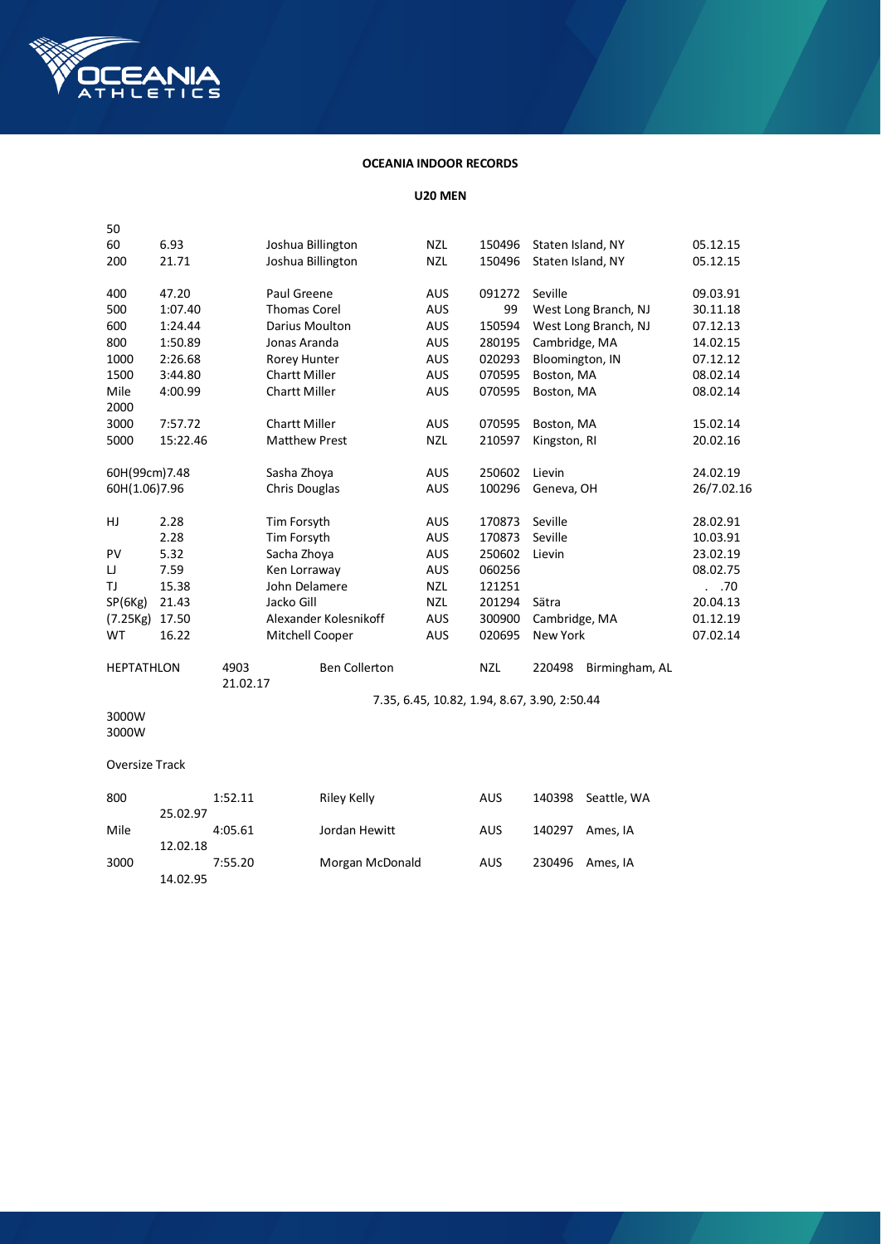

# **OCEANIA INDOOR RECORDS**

**U20 MEN**

| 50                    |          |                  |                      |                       |                                              |            |                   |                      |            |
|-----------------------|----------|------------------|----------------------|-----------------------|----------------------------------------------|------------|-------------------|----------------------|------------|
| 60                    | 6.93     |                  | Joshua Billington    |                       | <b>NZL</b>                                   | 150496     | Staten Island, NY |                      | 05.12.15   |
| 200                   | 21.71    |                  | Joshua Billington    |                       | <b>NZL</b>                                   | 150496     | Staten Island, NY |                      | 05.12.15   |
| 400                   | 47.20    |                  | Paul Greene          |                       | <b>AUS</b>                                   | 091272     | Seville           |                      | 09.03.91   |
| 500                   | 1:07.40  |                  | <b>Thomas Corel</b>  |                       | <b>AUS</b>                                   | 99         |                   | West Long Branch, NJ | 30.11.18   |
| 600                   | 1:24.44  |                  | Darius Moulton       |                       | <b>AUS</b>                                   | 150594     |                   | West Long Branch, NJ | 07.12.13   |
| 800                   | 1:50.89  |                  | Jonas Aranda         |                       | <b>AUS</b>                                   | 280195     | Cambridge, MA     |                      | 14.02.15   |
| 1000                  | 2:26.68  |                  | Rorey Hunter         |                       | <b>AUS</b>                                   | 020293     | Bloomington, IN   |                      | 07.12.12   |
| 1500                  | 3:44.80  |                  | <b>Chartt Miller</b> |                       | <b>AUS</b>                                   | 070595     | Boston, MA        |                      | 08.02.14   |
| Mile<br>2000          | 4:00.99  |                  | <b>Chartt Miller</b> |                       | <b>AUS</b>                                   | 070595     | Boston, MA        |                      | 08.02.14   |
| 3000                  | 7:57.72  |                  | <b>Chartt Miller</b> |                       | <b>AUS</b>                                   | 070595     | Boston, MA        |                      | 15.02.14   |
| 5000                  | 15:22.46 |                  | <b>Matthew Prest</b> |                       | <b>NZL</b>                                   | 210597     | Kingston, RI      |                      | 20.02.16   |
| 60H(99cm)7.48         |          |                  | Sasha Zhoya          |                       | <b>AUS</b>                                   | 250602     | Lievin            |                      | 24.02.19   |
| 60H(1.06)7.96         |          |                  | Chris Douglas        |                       | AUS                                          | 100296     | Geneva, OH        |                      | 26/7.02.16 |
| HJ                    | 2.28     |                  | Tim Forsyth          |                       | <b>AUS</b>                                   | 170873     | Seville           |                      | 28.02.91   |
|                       | 2.28     |                  | Tim Forsyth          |                       | AUS                                          | 170873     | Seville           |                      | 10.03.91   |
| PV                    | 5.32     |                  | Sacha Zhoya          |                       | <b>AUS</b>                                   | 250602     | Lievin            |                      | 23.02.19   |
| IJ                    | 7.59     |                  | Ken Lorraway         |                       | <b>AUS</b>                                   | 060256     |                   |                      | 08.02.75   |
| TJ                    | 15.38    |                  | John Delamere        |                       | <b>NZL</b>                                   | 121251     |                   |                      | . .70      |
| SP(6Kg)               | 21.43    |                  | Jacko Gill           |                       | <b>NZL</b>                                   | 201294     | Sätra             |                      | 20.04.13   |
| (7.25Kg)              | 17.50    |                  |                      | Alexander Kolesnikoff | <b>AUS</b>                                   | 300900     | Cambridge, MA     |                      | 01.12.19   |
| <b>WT</b>             | 16.22    |                  | Mitchell Cooper      |                       | AUS                                          | 020695     | New York          |                      | 07.02.14   |
| <b>HEPTATHLON</b>     |          | 4903<br>21.02.17 |                      | <b>Ben Collerton</b>  |                                              | <b>NZL</b> | 220498            | Birmingham, AL       |            |
|                       |          |                  |                      |                       | 7.35, 6.45, 10.82, 1.94, 8.67, 3.90, 2:50.44 |            |                   |                      |            |
| 3000W<br>3000W        |          |                  |                      |                       |                                              |            |                   |                      |            |
| <b>Oversize Track</b> |          |                  |                      |                       |                                              |            |                   |                      |            |
|                       |          |                  |                      |                       |                                              |            |                   |                      |            |
| 800                   |          | 1:52.11          |                      | <b>Riley Kelly</b>    |                                              | <b>AUS</b> | 140398            | Seattle, WA          |            |
|                       | 25.02.97 |                  |                      |                       |                                              |            |                   |                      |            |
| Mile                  |          | 4:05.61          |                      | Jordan Hewitt         |                                              | <b>AUS</b> | 140297            | Ames, IA             |            |
|                       | 12.02.18 |                  |                      |                       |                                              |            |                   |                      |            |

3000 7:55.20 Morgan McDonald AUS 230496 Ames, IA

14.02.95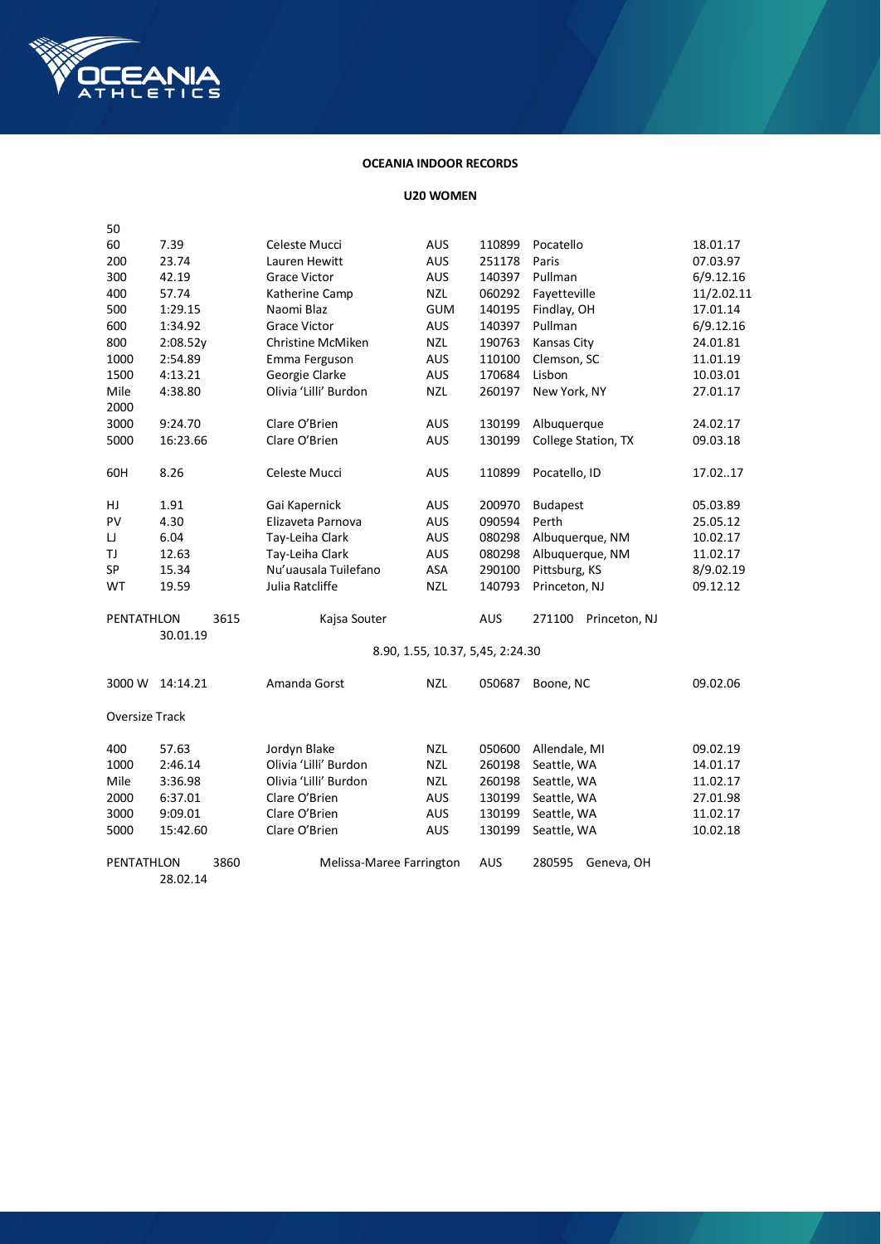

## **OCEANIA INDOOR RECORDS**

#### **U20 WOMEN**

| 50             |          |      |                       |                                  |            |                         |            |
|----------------|----------|------|-----------------------|----------------------------------|------------|-------------------------|------------|
| 60             | 7.39     |      | Celeste Mucci         | AUS                              | 110899     | Pocatello               | 18.01.17   |
| 200            | 23.74    |      | Lauren Hewitt         | <b>AUS</b>                       | 251178     | Paris                   | 07.03.97   |
| 300            | 42.19    |      | <b>Grace Victor</b>   | <b>AUS</b>                       | 140397     | Pullman                 | 6/9.12.16  |
| 400            | 57.74    |      | Katherine Camp        | <b>NZL</b>                       | 060292     | Fayetteville            | 11/2.02.11 |
| 500            | 1:29.15  |      | Naomi Blaz            | <b>GUM</b>                       | 140195     | Findlay, OH             | 17.01.14   |
| 600            | 1:34.92  |      | <b>Grace Victor</b>   | AUS                              | 140397     | Pullman                 | 6/9.12.16  |
| 800            | 2:08.52y |      | Christine McMiken     | <b>NZL</b>                       | 190763     | Kansas City             | 24.01.81   |
| 1000           | 2:54.89  |      | Emma Ferguson         | <b>AUS</b>                       | 110100     | Clemson, SC             | 11.01.19   |
| 1500           | 4:13.21  |      | Georgie Clarke        | <b>AUS</b>                       | 170684     | Lisbon                  | 10.03.01   |
| Mile           | 4:38.80  |      | Olivia 'Lilli' Burdon | <b>NZL</b>                       | 260197     | New York, NY            | 27.01.17   |
| 2000           |          |      |                       |                                  |            |                         |            |
| 3000           | 9:24.70  |      | Clare O'Brien         | <b>AUS</b>                       | 130199     | Albuquerque             | 24.02.17   |
| 5000           | 16:23.66 |      | Clare O'Brien         | AUS                              | 130199     | College Station, TX     | 09.03.18   |
|                |          |      |                       |                                  |            |                         |            |
| 60H            | 8.26     |      | Celeste Mucci         | <b>AUS</b>                       | 110899     | Pocatello, ID           | 17.0217    |
|                |          |      |                       |                                  |            |                         |            |
| HJ             | 1.91     |      | Gai Kapernick         | AUS                              | 200970     | <b>Budapest</b>         | 05.03.89   |
| PV             | 4.30     |      | Elizaveta Parnova     | <b>AUS</b>                       | 090594     | Perth                   | 25.05.12   |
| IJ             | 6.04     |      | Tay-Leiha Clark       | <b>AUS</b>                       | 080298     | Albuquerque, NM         | 10.02.17   |
| TJ             | 12.63    |      | Tay-Leiha Clark       | <b>AUS</b>                       | 080298     | Albuquerque, NM         | 11.02.17   |
| SP             | 15.34    |      | Nu'uausala Tuilefano  | ASA                              | 290100     | Pittsburg, KS           | 8/9.02.19  |
| WT             | 19.59    |      | Julia Ratcliffe       | <b>NZL</b>                       | 140793     | Princeton, NJ           | 09.12.12   |
| PENTATHLON     |          | 3615 | Kajsa Souter          |                                  | AUS        | 271100<br>Princeton, NJ |            |
|                | 30.01.19 |      |                       |                                  |            |                         |            |
|                |          |      |                       | 8.90, 1.55, 10.37, 5,45, 2:24.30 |            |                         |            |
| 3000 W         | 14:14.21 |      | Amanda Gorst          | <b>NZL</b>                       | 050687     | Boone, NC               | 09.02.06   |
|                |          |      |                       |                                  |            |                         |            |
| Oversize Track |          |      |                       |                                  |            |                         |            |
| 400            | 57.63    |      | Jordyn Blake          | <b>NZL</b>                       | 050600     | Allendale, MI           | 09.02.19   |
| 1000           | 2:46.14  |      | Olivia 'Lilli' Burdon | <b>NZL</b>                       | 260198     | Seattle, WA             | 14.01.17   |
| Mile           | 3:36.98  |      | Olivia 'Lilli' Burdon | <b>NZL</b>                       | 260198     | Seattle, WA             | 11.02.17   |
| 2000           | 6:37.01  |      | Clare O'Brien         | AUS                              | 130199     | Seattle, WA             | 27.01.98   |
| 3000           | 9:09.01  |      | Clare O'Brien         | <b>AUS</b>                       | 130199     | Seattle, WA             | 11.02.17   |
| 5000           | 15:42.60 |      | Clare O'Brien         | <b>AUS</b>                       | 130199     | Seattle, WA             | 10.02.18   |
| PENTATHLON     |          | 3860 |                       | Melissa-Maree Farrington         | <b>AUS</b> | 280595<br>Geneva, OH    |            |
|                | 28.02.14 |      |                       |                                  |            |                         |            |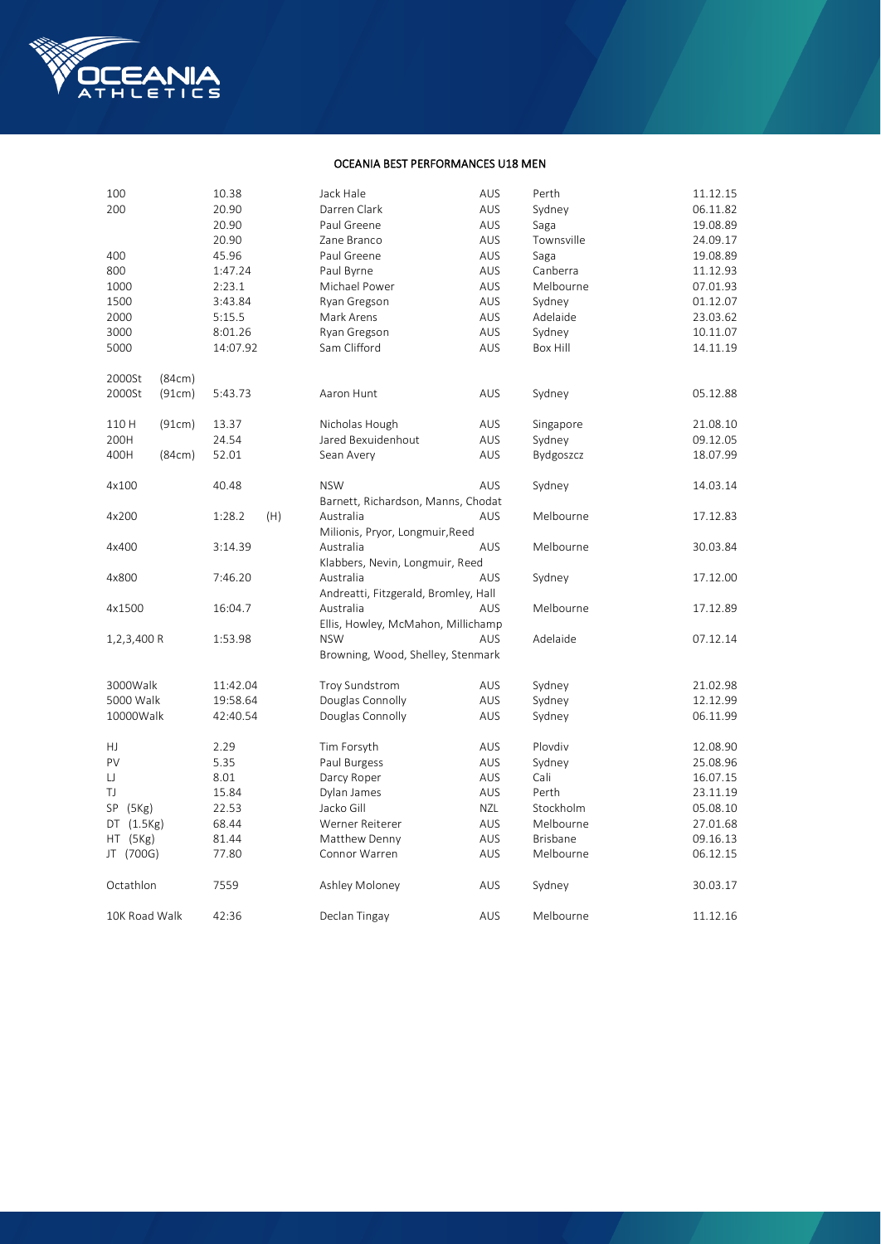

## OCEANIA BEST PERFORMANCES U18 MEN

| 100           |        | 10.38    |     | Jack Hale                            | AUS        | Perth            | 11.12.15 |
|---------------|--------|----------|-----|--------------------------------------|------------|------------------|----------|
| 200           |        | 20.90    |     | Darren Clark                         | AUS        | Sydney           | 06.11.82 |
|               |        | 20.90    |     | Paul Greene                          | AUS        | Saga             | 19.08.89 |
|               |        | 20.90    |     | Zane Branco                          | <b>AUS</b> | Townsville       | 24.09.17 |
| 400           |        | 45.96    |     | Paul Greene                          | AUS        | Saga             | 19.08.89 |
| 800           |        | 1:47.24  |     | Paul Byrne                           | AUS        | Canberra         | 11.12.93 |
| 1000          |        | 2:23.1   |     | Michael Power                        | AUS        | Melbourne        | 07.01.93 |
| 1500          |        | 3:43.84  |     | Ryan Gregson                         | AUS        | Sydney           | 01.12.07 |
| 2000          |        | 5:15.5   |     | Mark Arens                           | <b>AUS</b> | Adelaide         | 23.03.62 |
| 3000          |        | 8:01.26  |     | Ryan Gregson                         | AUS        | Sydney           | 10.11.07 |
| 5000          |        | 14:07.92 |     | Sam Clifford                         | AUS        | Box Hill         | 14.11.19 |
|               |        |          |     |                                      |            |                  |          |
| 2000St        | (84cm) |          |     |                                      |            |                  |          |
| 2000St        | (91cm) | 5:43.73  |     | Aaron Hunt                           | AUS        | Sydney           | 05.12.88 |
|               |        |          |     |                                      |            |                  |          |
| 110 H         | (91cm) | 13.37    |     | Nicholas Hough                       | <b>AUS</b> | Singapore        | 21.08.10 |
| 200H          |        | 24.54    |     | Jared Bexuidenhout                   | <b>AUS</b> | Sydney           | 09.12.05 |
| 400H          | (84cm) | 52.01    |     | Sean Avery                           | AUS        | <b>Bydgoszcz</b> | 18.07.99 |
|               |        |          |     |                                      |            |                  |          |
| 4x100         |        | 40.48    |     | <b>NSW</b>                           | <b>AUS</b> | Sydney           | 14.03.14 |
|               |        |          |     | Barnett, Richardson, Manns, Chodat   |            |                  |          |
| 4x200         |        | 1:28.2   | (H) | Australia                            | <b>AUS</b> | Melbourne        | 17.12.83 |
|               |        |          |     | Milionis, Pryor, Longmuir, Reed      |            |                  |          |
| 4x400         |        | 3:14.39  |     | Australia                            | <b>AUS</b> | Melbourne        | 30.03.84 |
|               |        |          |     | Klabbers, Nevin, Longmuir, Reed      |            |                  |          |
| 4x800         |        | 7:46.20  |     | Australia                            | AUS        | Sydney           | 17.12.00 |
|               |        |          |     | Andreatti, Fitzgerald, Bromley, Hall |            |                  |          |
| 4x1500        |        | 16:04.7  |     | Australia                            | AUS        | Melbourne        | 17.12.89 |
|               |        |          |     | Ellis, Howley, McMahon, Millichamp   |            |                  |          |
| 1,2,3,400 R   |        | 1:53.98  |     | <b>NSW</b>                           | <b>AUS</b> | Adelaide         | 07.12.14 |
|               |        |          |     | Browning, Wood, Shelley, Stenmark    |            |                  |          |
|               |        |          |     |                                      |            |                  |          |
| 3000Walk      |        | 11:42.04 |     | Troy Sundstrom                       | AUS        | Sydney           | 21.02.98 |
| 5000 Walk     |        | 19:58.64 |     | Douglas Connolly                     | AUS        | Sydney           | 12.12.99 |
| 10000Walk     |        | 42:40.54 |     | Douglas Connolly                     | AUS        | Sydney           | 06.11.99 |
|               |        |          |     |                                      |            |                  |          |
| HJ.           |        | 2.29     |     | Tim Forsyth                          | AUS        | Plovdiv          | 12.08.90 |
| PV            |        | 5.35     |     | Paul Burgess                         | AUS        | Sydney           | 25.08.96 |
| IJ            |        | 8.01     |     | Darcy Roper                          | <b>AUS</b> | Cali             | 16.07.15 |
| TJ            |        | 15.84    |     | Dylan James                          | <b>AUS</b> | Perth            | 23.11.19 |
| SP(5Kg)       |        | 22.53    |     | Jacko Gill                           | NZL        | Stockholm        | 05.08.10 |
| DT(1.5Kg)     |        | 68.44    |     | Werner Reiterer                      | <b>AUS</b> | Melbourne        | 27.01.68 |
| HT (5Kg)      |        | 81.44    |     | Matthew Denny                        | AUS        | Brisbane         | 09.16.13 |
| JT (700G)     |        | 77.80    |     | Connor Warren                        | AUS        | Melbourne        | 06.12.15 |
|               |        |          |     |                                      |            |                  |          |
| Octathlon     |        | 7559     |     | Ashley Moloney                       | AUS        | Sydney           | 30.03.17 |
|               |        |          |     |                                      |            |                  |          |
| 10K Road Walk |        | 42:36    |     | Declan Tingay                        | AUS        | Melbourne        | 11.12.16 |
|               |        |          |     |                                      |            |                  |          |